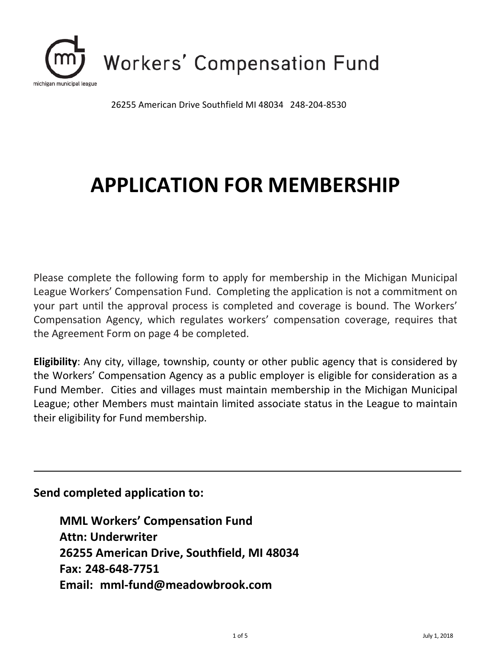

26255 American Drive Southfield MI 48034 248-204-8530

# **APPLICATION FOR MEMBERSHIP**

Please complete the following form to apply for membership in the Michigan Municipal League Workers' Compensation Fund. Completing the application is not a commitment on your part until the approval process is completed and coverage is bound. The Workers' Compensation Agency, which regulates workers' compensation coverage, requires that the Agreement Form on page 4 be completed.

**Eligibility**: Any city, village, township, county or other public agency that is considered by the Workers' Compensation Agency as a public employer is eligible for consideration as a Fund Member. Cities and villages must maintain membership in the Michigan Municipal League; other Members must maintain limited associate status in the League to maintain their eligibility for Fund membership.

#### **Send completed application to:**

**MML Workers' Compensation Fund Attn: Underwriter 26255 American Drive, Southfield, MI 48034 Fax: 248-648-7751 Email: mml-fund@meadowbrook.com**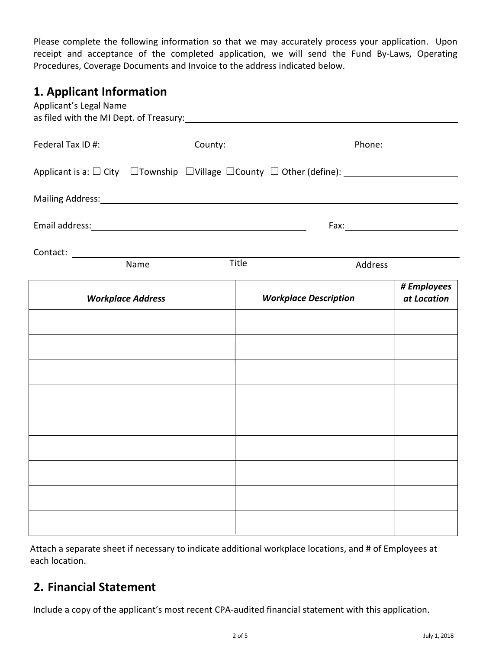Please complete the following information so that we may accurately process your application. Upon receipt and acceptance of the completed application, we will send the Fund By-Laws, Operating Procedures, Coverage Documents and Invoice to the address indicated below.

#### **1. Applicant Information**

| Applicant's Legal Name                                                                                                                                                                                                         |       |                              |                            |
|--------------------------------------------------------------------------------------------------------------------------------------------------------------------------------------------------------------------------------|-------|------------------------------|----------------------------|
|                                                                                                                                                                                                                                |       |                              |                            |
|                                                                                                                                                                                                                                |       |                              |                            |
| Mailing Address: National Address: National Address: National Address: National Address: National Address: National Address: National Address: National Address: National Address: National Address: National Address: Nationa |       |                              |                            |
|                                                                                                                                                                                                                                |       |                              |                            |
| Name                                                                                                                                                                                                                           | Title |                              |                            |
|                                                                                                                                                                                                                                |       | Address                      |                            |
| <b>Workplace Address</b>                                                                                                                                                                                                       |       | <b>Workplace Description</b> | # Employees<br>at Location |
|                                                                                                                                                                                                                                |       |                              |                            |
|                                                                                                                                                                                                                                |       |                              |                            |
|                                                                                                                                                                                                                                |       |                              |                            |
|                                                                                                                                                                                                                                |       |                              |                            |
|                                                                                                                                                                                                                                |       |                              |                            |
|                                                                                                                                                                                                                                |       |                              |                            |
|                                                                                                                                                                                                                                |       |                              |                            |
|                                                                                                                                                                                                                                |       |                              |                            |
|                                                                                                                                                                                                                                |       |                              |                            |

Attach a separate sheet if necessary to indicate additional workplace locations, and # of Employees at each location.

## **2. Financial Statement**

Include a copy of the applicant's most recent CPA-audited financial statement with this application.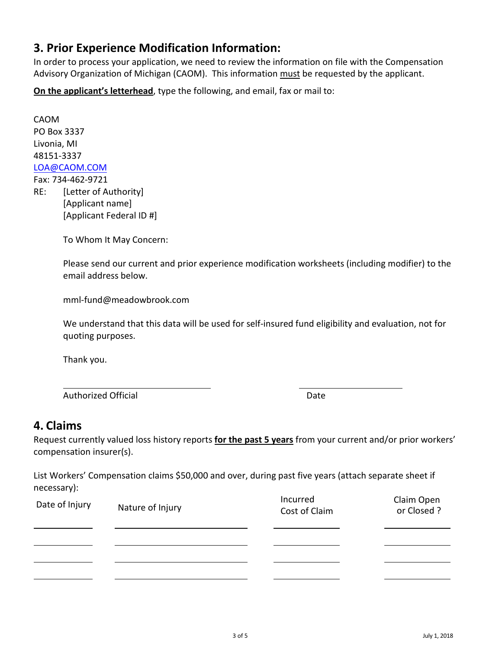## **3. Prior Experience Modification Information:**

In order to process your application, we need to review the information on file with the Compensation Advisory Organization of Michigan (CAOM). This information must be requested by the applicant.

**On the applicant's letterhead**, type the following, and email, fax or mail to:

CAOM PO Box 3337 Livonia, MI [48151-3337](mailto:LOA@CAOM.ORG)  LOA@CAOM.COM Fax: 734-462-9721 RE: [Letter of Authority] [Applicant name]

To Whom It May Concern:

[Applicant Federal ID #]

Please send our current and prior experience modification worksheets (including modifier) to the email address below.

mml-fund@meadowbrook.com

We understand that this data will be used for self-insured fund eligibility and evaluation, not for quoting purposes.

Thank you.

Authorized Official **Date Date** Date **Date** 

#### **4. Claims**

Request currently valued loss history reports **for the past 5 years** from your current and/or prior workers' compensation insurer(s).

List Workers' Compensation claims \$50,000 and over, during past five years (attach separate sheet if necessary):

| Date of Injury | Nature of Injury | Incurred<br>Cost of Claim | Claim Open<br>or Closed ? |
|----------------|------------------|---------------------------|---------------------------|
|                |                  |                           |                           |
|                |                  |                           |                           |
|                |                  |                           |                           |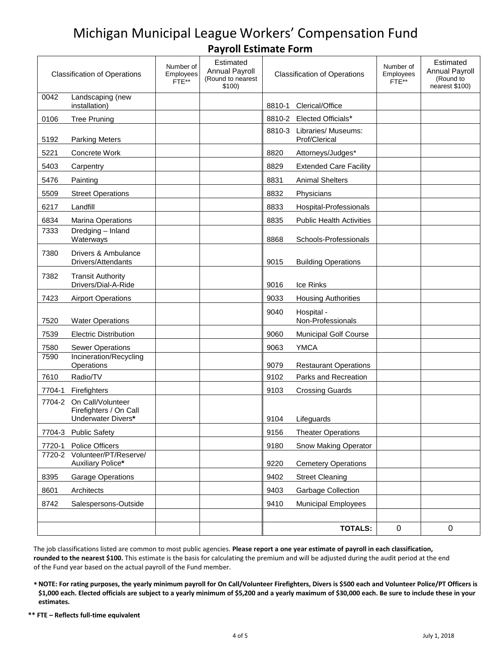# Michigan Municipal League Workers' Compensation Fund **Payroll Estimate Form**

|        | <b>Classification of Operations</b>                               | Number of<br>Employees<br>FTE** | Estimated<br><b>Annual Payroll</b><br>(Round to nearest<br>\$100) |        | <b>Classification of Operations</b> | Number of<br>Employees<br>FTE** | Estimated<br><b>Annual Payroll</b><br>(Round to<br>nearest \$100) |
|--------|-------------------------------------------------------------------|---------------------------------|-------------------------------------------------------------------|--------|-------------------------------------|---------------------------------|-------------------------------------------------------------------|
| 0042   | Landscaping (new<br>installation)                                 |                                 |                                                                   | 8810-1 | Clerical/Office                     |                                 |                                                                   |
| 0106   | <b>Tree Pruning</b>                                               |                                 |                                                                   |        | 8810-2 Elected Officials*           |                                 |                                                                   |
|        |                                                                   |                                 |                                                                   | 8810-3 | Libraries/ Museums:                 |                                 |                                                                   |
| 5192   | <b>Parking Meters</b>                                             |                                 |                                                                   |        | Prof/Clerical                       |                                 |                                                                   |
| 5221   | Concrete Work                                                     |                                 |                                                                   | 8820   | Attorneys/Judges*                   |                                 |                                                                   |
| 5403   | Carpentry                                                         |                                 |                                                                   | 8829   | <b>Extended Care Facility</b>       |                                 |                                                                   |
| 5476   | Painting                                                          |                                 |                                                                   | 8831   | <b>Animal Shelters</b>              |                                 |                                                                   |
| 5509   | <b>Street Operations</b>                                          |                                 |                                                                   | 8832   | Physicians                          |                                 |                                                                   |
| 6217   | Landfill                                                          |                                 |                                                                   | 8833   | Hospital-Professionals              |                                 |                                                                   |
| 6834   | <b>Marina Operations</b>                                          |                                 |                                                                   | 8835   | <b>Public Health Activities</b>     |                                 |                                                                   |
| 7333   | Dredging - Inland<br>Waterways                                    |                                 |                                                                   | 8868   | Schools-Professionals               |                                 |                                                                   |
| 7380   | Drivers & Ambulance<br>Drivers/Attendants                         |                                 |                                                                   | 9015   | <b>Building Operations</b>          |                                 |                                                                   |
| 7382   | <b>Transit Authority</b><br>Drivers/Dial-A-Ride                   |                                 |                                                                   | 9016   | Ice Rinks                           |                                 |                                                                   |
| 7423   | <b>Airport Operations</b>                                         |                                 |                                                                   | 9033   | <b>Housing Authorities</b>          |                                 |                                                                   |
| 7520   | <b>Water Operations</b>                                           |                                 |                                                                   | 9040   | Hospital -<br>Non-Professionals     |                                 |                                                                   |
| 7539   | <b>Electric Distribution</b>                                      |                                 |                                                                   | 9060   | <b>Municipal Golf Course</b>        |                                 |                                                                   |
| 7580   | <b>Sewer Operations</b>                                           |                                 |                                                                   | 9063   | <b>YMCA</b>                         |                                 |                                                                   |
| 7590   | Incineration/Recycling<br>Operations                              |                                 |                                                                   | 9079   | <b>Restaurant Operations</b>        |                                 |                                                                   |
| 7610   | Radio/TV                                                          |                                 |                                                                   | 9102   | Parks and Recreation                |                                 |                                                                   |
| 7704-1 | Firefighters                                                      |                                 |                                                                   | 9103   | <b>Crossing Guards</b>              |                                 |                                                                   |
| 7704-2 | On Call/Volunteer<br>Firefighters / On Call<br>Underwater Divers* |                                 |                                                                   | 9104   | Lifeguards                          |                                 |                                                                   |
|        | 7704-3 Public Safety                                              |                                 |                                                                   | 9156   | <b>Theater Operations</b>           |                                 |                                                                   |
| 7720-1 | Police Officers                                                   |                                 |                                                                   | 9180   | <b>Snow Making Operator</b>         |                                 |                                                                   |
| 7720-2 | Volunteer/PT/Reserve/<br>Auxiliary Police*                        |                                 |                                                                   | 9220   | <b>Cemetery Operations</b>          |                                 |                                                                   |
| 8395   | <b>Garage Operations</b>                                          |                                 |                                                                   | 9402   | <b>Street Cleaning</b>              |                                 |                                                                   |
| 8601   | Architects                                                        |                                 |                                                                   | 9403   | <b>Garbage Collection</b>           |                                 |                                                                   |
| 8742   | Salespersons-Outside                                              |                                 |                                                                   | 9410   | <b>Municipal Employees</b>          |                                 |                                                                   |
|        |                                                                   |                                 |                                                                   |        |                                     |                                 |                                                                   |
|        |                                                                   |                                 |                                                                   |        | <b>TOTALS:</b>                      | $\pmb{0}$                       | $\pmb{0}$                                                         |

The job classifications listed are common to most public agencies. **Please report a one year estimate of payroll in each classification, rounded to the nearest \$100.** This estimate is the basis for calculating the premium and will be adjusted during the audit period at the end of the Fund year based on the actual payroll of the Fund member.

- **\* NOTE: For rating purposes, the yearly minimum payroll for On Call/Volunteer Firefighters, Divers is \$500 each and Volunteer Police/PT Officers is \$1,000 each. Elected officials are subject to a yearly minimum of \$5,200 and a yearly maximum of \$30,000 each. Be sure to include these in your estimates.**
- **\*\* FTE Reflects full-time equivalent**